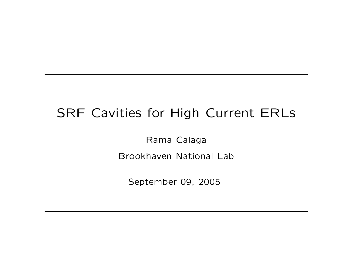## SRF Cavities for High Current ERLs

Rama Calaga Brookhaven National Lab

September 09, 2005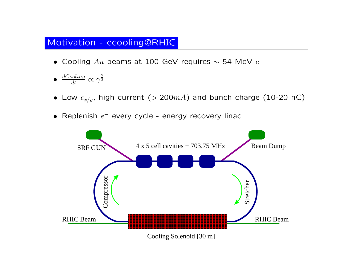### Motivation - ecooling@RHIC

- Cooling  $Au$  beams at 100 GeV requires  $\sim$  54 MeV  $e^-$
- $\bullet$   $\frac{dCooling}{dt} \propto \gamma^{\frac{5}{2}}$
- $\bullet$  Low  $\epsilon_{x/y}$ , high current  $(> 200mA)$  and bunch charge  $(10\text{-}20$  nC $)$
- Replenish  $e^-$  every cycle energy recovery linac

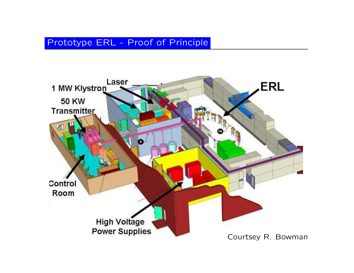## Prototype ERL - Proof of Principle

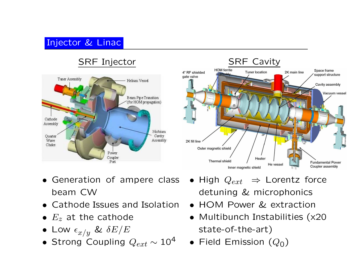## Injector & Linac

## SRF Injector





- Generation of ampere class beam CW
- Cathode Issues and Isolation
- $\bullet$   $E_z$  at the cathode
- $\bullet$  Low  $\epsilon_{x/y}$  &  $\delta E/E$
- Strong Coupling  $Q_{ext}\sim 10^4$  Field Emission  $(Q_0)$
- $\bullet$  High  $Q_{ext}$   $\;\Rightarrow$  Lorentz force detuning & microphonics
- HOM Power & extraction
- Multibunch Instabilities (x20 state-of-the-art)
-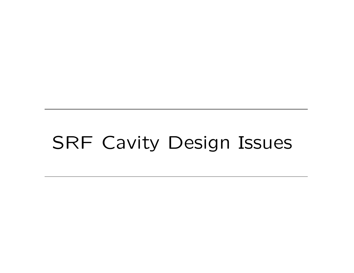# SRF Cavity Design Issues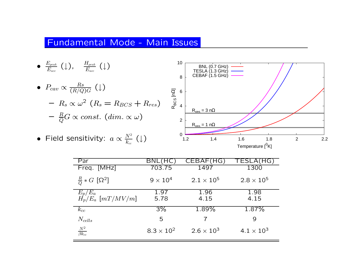#### Fundamental Mode - Main Issues



| Par                                 | BNL                 | CEBAF<br>( تا       | TESLA(HG)           |
|-------------------------------------|---------------------|---------------------|---------------------|
| Freq. [MHz]                         | 703.75              | 1497                | 1300                |
| $\frac{R}{Q} * G$ [ $\Omega^2$ ]    | $9 \times 10^4$     | $2.1 \times 10^{5}$ | $2.8 \times 10^5$   |
| $\frac{E_p/E_a}{H_p/E_a}$ [mT/MV/m] | 1.97<br>5.78        | 1.96<br>4.15        | 1.98<br>4.15        |
| $k_{cc}$                            | $3\%$               | 1.89%               | $1.87\%$            |
| $N_{cells}$                         | 5                   |                     | 9                   |
| $\frac{N^2}{\beta k_{cc}}$          | $8.3 \times 10^{2}$ | $2.6 \times 10^{3}$ | $4.1 \times 10^{3}$ |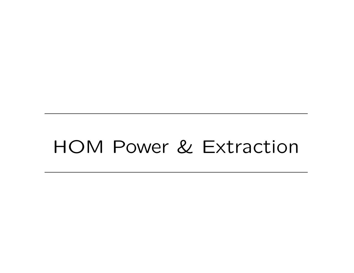## HOM Power & Extraction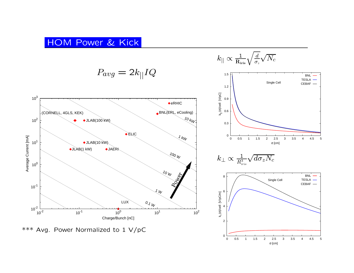#### HOM P o wer & Kick

 $P_{avg}=2$  $k_{||}IQ$ 



\*\*\* Avg. P o wer Normalized to 1 V/pC

 $k_{||} \propto \frac{1}{\mathrm{R}_{\mathrm{iris}}} \sqrt{\frac{d}{\sigma_{z}}} \sqrt{N_{c}}$ 



<sup>σ</sup> [cm]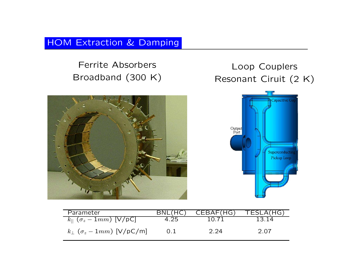### HOM Extraction & Damping

Ferrite Absorbers Broadband (300 K)





| Parameter                                   | BNL(HC) | CEBAF(HG) | TESLA(HG) |
|---------------------------------------------|---------|-----------|-----------|
| $k_{\parallel}$ ( $\sigma_z - 1mm$ ) [V/pC] | 4.25    | 10 71     | 13 14     |
| $k_{\perp}$ ( $\sigma_z - 1mm$ ) [V/pC/m]   |         | 2.24      | 2.07      |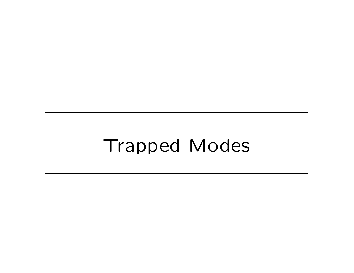## Trapped Modes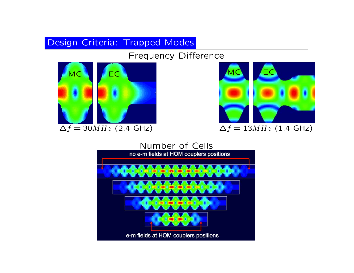## Design Criteria: Trapped Modes

Frequency Difference





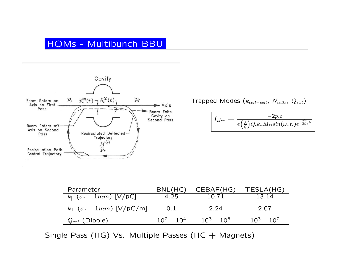## HOMs - Multibunch BBU



Trapped Modes ( $k_{cell-cell}$ ,  $N_{cells}$ ,  $Q_{ext}$ )

$$
\boxed{I_{thr}=\frac{-2p_{r}c}{e\big(\frac{R}{Q}\big)Q_{e}k_{m}M_{12}sin(\omega_{m}t_{r})e^{-\frac{\omega_{m}}{2Q_{e}}t_{r}}}}
$$

| Parameter                                 | BNL(HC        | CEBAF(HG)     | TESLA(HG)     |
|-------------------------------------------|---------------|---------------|---------------|
| $k_{\parallel}$ $(\sigma_z - 1mm)$ [V/pC] | 4.25          | 10.71         | 13.14         |
| $k_{\perp}$ ( $\sigma_z - 1mm$ ) [V/pC/m] | 0.1           | 2.24          | 2.07          |
| $Q_{ext}$ (Dipole)                        | $10^2 - 10^4$ | $10^3 - 10^6$ | $10^3 - 10^7$ |

Single Pass (HG) Vs. Multiple Passes (HC + Magnets)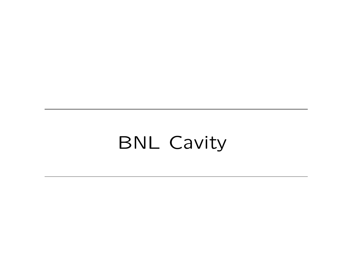## BNL Cavity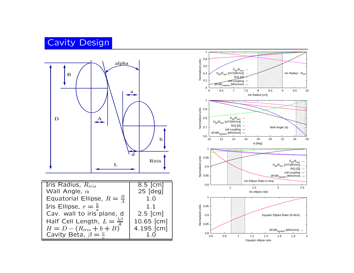## Cavit y Design



| <b>Iris Radius, <math>\overline{R}_{iris}</math></b>                 | $\overline{8.5}$ [cm] |
|----------------------------------------------------------------------|-----------------------|
| Wall Angle, $\alpha$                                                 | $25$ [deg]            |
| Equatorial Ellipse, $R = \frac{B}{4}$                                | 1.0                   |
| Iris Ellipse, $r = \frac{b}{a}$                                      | 1.1                   |
| Cav. wall to iris <sup>a</sup> plane, d                              | $2.5$ [cm]            |
| Half Cell Length, $L = \frac{\lambda \beta}{4}$                      | 10.65 [cm]            |
| $H = D - (R_{iris} + b + B)^T$<br>Cavity Beta, $\beta = \frac{v}{c}$ | 4.195 [cm]            |
|                                                                      |                       |

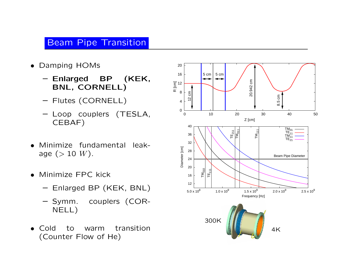## Beam Pipe Transition

- Damping HOMs
	- Enlarged BP (KEK, BNL, CORNELL)
	- Flutes (CORNELL)
	- Loop couplers (TESLA, CEBAF)
- • Minimize fundamental leakage  $(> 10 W)$ .
- Minimize FPC kick
	- Enlarged BP (KEK, BNL)
	- Symm. couplers (COR-NELL)
- Cold to warm transition (Counter Flow of He)

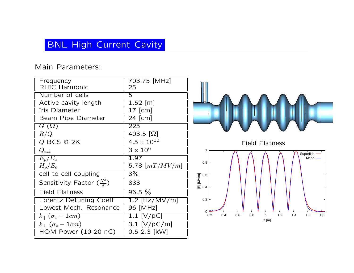## BNL High Current Cavity

#### Main Parameters:

| Frequency                                           | 703.75 [MHz]       |  |
|-----------------------------------------------------|--------------------|--|
| <b>RHIC Harmonic</b>                                | 25                 |  |
| Number of cells                                     | 5                  |  |
| Active cavity length                                | 1.52 [m]           |  |
| Iris Diameter                                       | $17$ [cm]          |  |
| Beam Pipe Diameter                                  | 24 [cm]            |  |
| $G(\Omega)$                                         | 225                |  |
| R/Q                                                 | $403.5 [\Omega]$   |  |
| $Q$ BCS @ 2K                                        | $4.5\times10^{10}$ |  |
| $Q_{ext}$                                           | $3\times10^6$      |  |
| $E_p/E_a$                                           | 1.97               |  |
| $H_p/E_a$                                           | 5.78 $[mT/MV/m]$   |  |
| cell to cell coupling                               | $3\%$              |  |
| Sensitivity Factor $\left(\frac{N^2}{\beta}\right)$ | 833                |  |
| <b>Field Flatness</b>                               | $96.5 \%$          |  |
| Lorentz Detuning Coeff                              | $1.2$ [Hz/MV/m]    |  |
| Lowest Mech. Resonance                              | 96 [MHz]           |  |
| $k_{  }$ $(\sigma_z-1cm)$                           | 1.1 $[V/pC]$       |  |
| $k_{\perp}$ ( $\sigma_z-1cm$ )                      | 3.1 $[V/pC/m]$     |  |
| HOM Power $(10-20 \text{ nC})$                      | $0.5 - 2.3$ [kW]   |  |

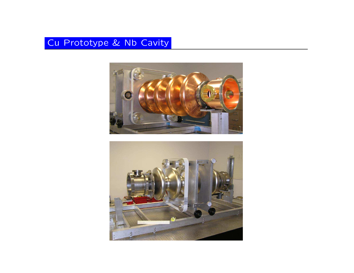### Cu Prototype & Nb Cavity



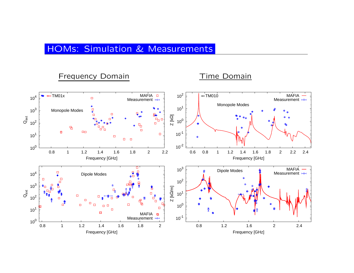#### HOMs: Simulation & Measurements

#### Frequency Domain

#### Time Domain

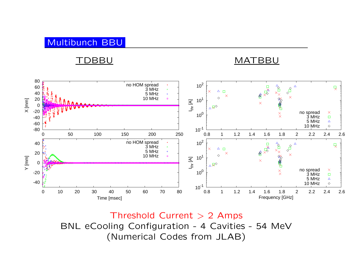## Multibunch BBU

#### TDBBU

#### MATBBU



Threshold Current > 2 Amps BNL eCooling Configuration - 4 Cavities - 54 MeV (Numerical Codes from JLAB)